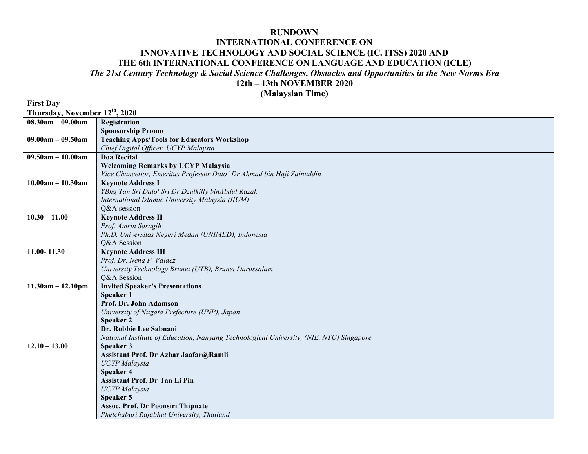## **RUNDOWN**

## **INTERNATIONAL CONFERENCE ON INNOVATIVE TECHNOLOGY AND SOCIAL SCIENCE (IC. ITSS) 2020 AND THE 6th INTERNATIONAL CONFERENCE ON LANGUAGE AND EDUCATION (ICLE)** *The 21st Century Technology & Social Science Challenges, Obstacles and Opportunities in the New Norms Era* **12th – 13th NOVEMBER 2020**

**(Malaysian Time)**

**First Day**

**Thursday, November 12th, 2020**

| $08.30am - 09.00am$ |                                                                                         |  |
|---------------------|-----------------------------------------------------------------------------------------|--|
|                     | Registration                                                                            |  |
|                     | <b>Sponsorship Promo</b>                                                                |  |
| $09.00am - 09.50am$ | <b>Teaching Apps/Tools for Educators Workshop</b>                                       |  |
|                     | Chief Digital Officer, UCYP Malaysia                                                    |  |
| $09.50am - 10.00am$ | Doa Recital                                                                             |  |
|                     | <b>Welcoming Remarks by UCYP Malaysia</b>                                               |  |
|                     | Vice Chancellor, Emeritus Professor Dato' Dr Ahmad bin Haji Zainuddin                   |  |
| $10.00am - 10.30am$ | <b>Keynote Address I</b>                                                                |  |
|                     | YBhg Tan Sri Dato' Sri Dr Dzulkifly binAbdul Razak                                      |  |
|                     | International Islamic University Malaysia (IIUM)                                        |  |
|                     | Q&A session                                                                             |  |
| $10.30 - 11.00$     | <b>Keynote Address II</b>                                                               |  |
|                     | Prof. Amrin Saragih,                                                                    |  |
|                     | Ph.D. Universitas Negeri Medan (UNIMED), Indonesia                                      |  |
|                     | O&A Session                                                                             |  |
| $11.00 - 11.30$     | <b>Keynote Address III</b>                                                              |  |
|                     | Prof. Dr. Nena P. Valdez                                                                |  |
|                     | University Technology Brunei (UTB), Brunei Darussalam                                   |  |
|                     | Q&A Session                                                                             |  |
| $11.30am - 12.10pm$ | <b>Invited Speaker's Presentations</b>                                                  |  |
|                     | Speaker 1                                                                               |  |
|                     | Prof. Dr. John Adamson                                                                  |  |
|                     | University of Niigata Prefecture (UNP), Japan                                           |  |
|                     | <b>Speaker 2</b>                                                                        |  |
|                     | Dr. Robbie Lee Sabnani                                                                  |  |
|                     | National Institute of Education, Nanyang Technological University, (NIE, NTU) Singapore |  |
| $12.10 - 13.00$     | Speaker 3                                                                               |  |
|                     | Assistant Prof. Dr Azhar Jaafar@Ramli                                                   |  |
|                     | <b>UCYP</b> Malaysia                                                                    |  |
|                     | <b>Speaker 4</b>                                                                        |  |
|                     | Assistant Prof. Dr Tan Li Pin                                                           |  |
|                     | <b>UCYP</b> Malaysia                                                                    |  |
|                     | <b>Speaker 5</b>                                                                        |  |
|                     | <b>Assoc. Prof. Dr Poonsiri Thipnate</b>                                                |  |
|                     | Phetchaburi Rajabhat University, Thailand                                               |  |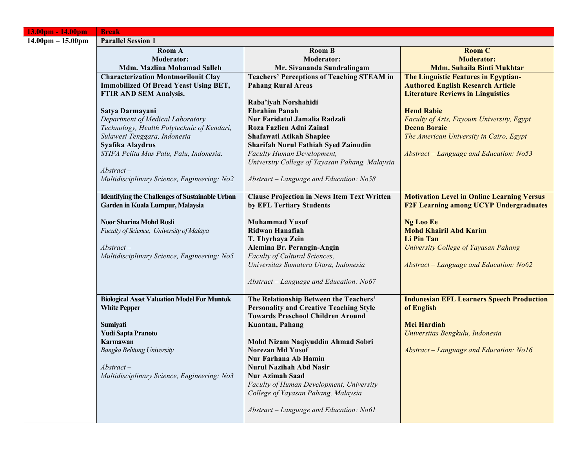| 13.00pm - 14.00pm                   | <b>Break</b>                                           |                                                                              |                                                   |
|-------------------------------------|--------------------------------------------------------|------------------------------------------------------------------------------|---------------------------------------------------|
| $14.00 \text{pm} - 15.00 \text{pm}$ | <b>Parallel Session 1</b>                              |                                                                              |                                                   |
|                                     | Room A                                                 | <b>Room B</b>                                                                | <b>Room C</b>                                     |
|                                     | <b>Moderator:</b>                                      | <b>Moderator:</b>                                                            | <b>Moderator:</b>                                 |
|                                     | <b>Mdm. Mazlina Mohamad Salleh</b>                     | Mr. Sivananda Sundralingam                                                   | <b>Mdm. Suhaila Binti Mukhtar</b>                 |
|                                     | <b>Characterization Montmorilonit Clay</b>             | <b>Teachers' Perceptions of Teaching STEAM in</b>                            | The Linguistic Features in Egyptian-              |
|                                     | <b>Immobilized Of Bread Yeast Using BET,</b>           | <b>Pahang Rural Areas</b>                                                    | <b>Authored English Research Article</b>          |
|                                     | FTIR AND SEM Analysis.                                 |                                                                              | <b>Literature Reviews in Linguistics</b>          |
|                                     |                                                        | Raba'iyah Norshahidi                                                         |                                                   |
|                                     | Satya Darmayani                                        | <b>Ebrahim Panah</b>                                                         | <b>Hend Rabie</b>                                 |
|                                     | Department of Medical Laboratory                       | Nur Faridatul Jamalia Radzali                                                | Faculty of Arts, Fayoum University, Egypt         |
|                                     | Technology, Health Polytechnic of Kendari,             | Roza Fazlien Adni Zainal                                                     | <b>Deena Boraie</b>                               |
|                                     | Sulawesi Tenggara, Indonesia                           | Shafawati Atikah Shapiee                                                     | The American University in Cairo, Egypt           |
|                                     | Syafika Alaydrus                                       | Sharifah Nurul Fathiah Syed Zainudin                                         |                                                   |
|                                     | STIFA Pelita Mas Palu, Palu, Indonesia.                | Faculty Human Development,<br>University College of Yayasan Pahang, Malaysia | Abstract - Language and Education: No53           |
|                                     | $Abstract-$                                            |                                                                              |                                                   |
|                                     | Multidisciplinary Science, Engineering: No2            | Abstract - Language and Education: No58                                      |                                                   |
|                                     |                                                        |                                                                              |                                                   |
|                                     | <b>Identifying the Challenges of Sustainable Urban</b> | <b>Clause Projection in News Item Text Written</b>                           | <b>Motivation Level in Online Learning Versus</b> |
|                                     | Garden in Kuala Lumpur, Malaysia                       | by EFL Tertiary Students                                                     | <b>F2F Learning among UCYP Undergraduates</b>     |
|                                     |                                                        |                                                                              |                                                   |
|                                     | <b>Noor Sharina Mohd Rosli</b>                         | <b>Muhammad Yusuf</b>                                                        | <b>Ng Loo Ee</b>                                  |
|                                     | Faculty of Science, University of Malaya               | Ridwan Hanafiah                                                              | <b>Mohd Khairil Abd Karim</b>                     |
|                                     |                                                        | T. Thyrhaya Zein                                                             | Li Pin Tan                                        |
|                                     | $Abstract-$                                            | Alemina Br. Perangin-Angin                                                   | University College of Yayasan Pahang              |
|                                     | Multidisciplinary Science, Engineering: No5            | Faculty of Cultural Sciences,                                                |                                                   |
|                                     |                                                        | Universitas Sumatera Utara, Indonesia                                        | Abstract - Language and Education: No62           |
|                                     |                                                        | Abstract - Language and Education: No67                                      |                                                   |
|                                     |                                                        |                                                                              |                                                   |
|                                     | <b>Biological Asset Valuation Model For Muntok</b>     | The Relationship Between the Teachers'                                       | <b>Indonesian EFL Learners Speech Production</b>  |
|                                     | <b>White Pepper</b>                                    | <b>Personality and Creative Teaching Style</b>                               | of English                                        |
|                                     |                                                        | <b>Towards Preschool Children Around</b>                                     |                                                   |
|                                     | Sumiyati                                               | Kuantan, Pahang                                                              | <b>Mei Hardiah</b>                                |
|                                     | <b>Yudi Sapta Pranoto</b>                              |                                                                              | Universitas Bengkulu, Indonesia                   |
|                                     | <b>Karmawan</b>                                        | Mohd Nizam Naqiyuddin Ahmad Sobri                                            |                                                   |
|                                     | <b>Bangka Belitung University</b>                      | <b>Norezan Md Yusof</b>                                                      | Abstract – Language and Education: No16           |
|                                     |                                                        | Nur Farhana Ab Hamin                                                         |                                                   |
|                                     | $Abstract-$                                            | <b>Nurul Nazihah Abd Nasir</b>                                               |                                                   |
|                                     | Multidisciplinary Science, Engineering: No3            | <b>Nur Azimah Saad</b>                                                       |                                                   |
|                                     |                                                        | Faculty of Human Development, University                                     |                                                   |
|                                     |                                                        | College of Yayasan Pahang, Malaysia                                          |                                                   |
|                                     |                                                        |                                                                              |                                                   |
|                                     |                                                        | Abstract - Language and Education: No61                                      |                                                   |
|                                     |                                                        |                                                                              |                                                   |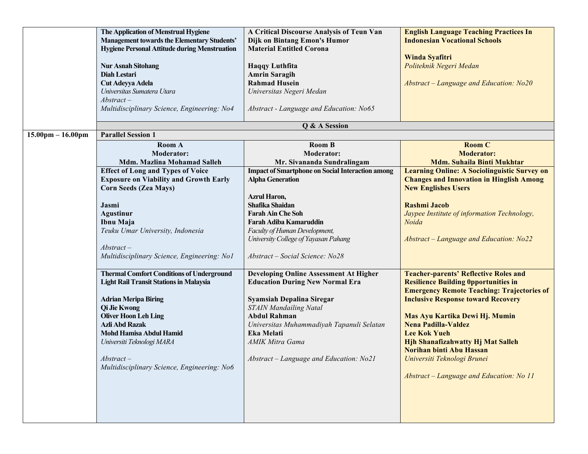|                                     | The Application of Menstrual Hygiene<br><b>Management towards the Elementary Students'</b><br><b>Hygiene Personal Attitude during Menstruation</b><br><b>Nur Asnah Sitohang</b><br>Diah Lestari<br>Cut Adeyya Adela<br>Universitas Sumatera Utara<br>$Abstract-$                                                                              | A Critical Discourse Analysis of Teun Van<br>Dijk on Bintang Emon's Humor<br><b>Material Entitled Corona</b><br><b>Haqqy Luthfita</b><br><b>Amrin Saragih</b><br><b>Rahmad Husein</b><br>Universitas Negeri Medan                                                                                            | <b>English Language Teaching Practices In</b><br><b>Indonesian Vocational Schools</b><br>Winda Syafitri<br>Politeknik Negeri Medan<br>Abstract - Language and Education: No20                                                                                                                                                                                                                                                    |
|-------------------------------------|-----------------------------------------------------------------------------------------------------------------------------------------------------------------------------------------------------------------------------------------------------------------------------------------------------------------------------------------------|--------------------------------------------------------------------------------------------------------------------------------------------------------------------------------------------------------------------------------------------------------------------------------------------------------------|----------------------------------------------------------------------------------------------------------------------------------------------------------------------------------------------------------------------------------------------------------------------------------------------------------------------------------------------------------------------------------------------------------------------------------|
|                                     | Multidisciplinary Science, Engineering: No4                                                                                                                                                                                                                                                                                                   | Abstract - Language and Education: No65                                                                                                                                                                                                                                                                      |                                                                                                                                                                                                                                                                                                                                                                                                                                  |
|                                     |                                                                                                                                                                                                                                                                                                                                               | Q & A Session                                                                                                                                                                                                                                                                                                |                                                                                                                                                                                                                                                                                                                                                                                                                                  |
| $15.00 \text{pm} - 16.00 \text{pm}$ | <b>Parallel Session 1</b><br>Room A<br><b>Moderator:</b><br><b>Mdm. Mazlina Mohamad Salleh</b>                                                                                                                                                                                                                                                | <b>Room B</b><br><b>Moderator:</b><br>Mr. Sivananda Sundralingam                                                                                                                                                                                                                                             | <b>Room C</b><br><b>Moderator:</b><br><b>Mdm. Suhaila Binti Mukhtar</b>                                                                                                                                                                                                                                                                                                                                                          |
|                                     | <b>Effect of Long and Types of Voice</b><br><b>Exposure on Viability and Growth Early</b><br><b>Corn Seeds (Zea Mays)</b><br>Jasmi<br><b>Agustinur</b><br>Ibnu Maja<br>Teuku Umar University, Indonesia<br>$Abstract-$<br>Multidisciplinary Science, Engineering: No1                                                                         | <b>Impact of Smartphone on Social Interaction among</b><br><b>Alpha Generation</b><br><b>Azrul Haron,</b><br>Shafika Shaidan<br><b>Farah Ain Che Soh</b><br><b>Farah Adiba Kamaruddin</b><br>Faculty of Human Development,<br>University College of Yayasan Pahang<br>Abstract – Social Science: No28        | <b>Learning Online: A Sociolinguistic Survey on</b><br><b>Changes and Innovation in Hinglish Among</b><br><b>New Englishes Users</b><br><b>Rashmi Jacob</b><br>Jaypee Institute of information Technology,<br>Noida<br>Abstract – Language and Education: No22                                                                                                                                                                   |
|                                     | <b>Thermal Comfort Conditions of Underground</b><br><b>Light Rail Transit Stations in Malaysia</b><br><b>Adrian Meripa Biring</b><br><b>Qi Jie Kwong</b><br><b>Oliver Hoon Leh Ling</b><br><b>Azli Abd Razak</b><br><b>Mohd Hamisa Abdul Hamid</b><br>Universiti Teknologi MARA<br>$Abstract-$<br>Multidisciplinary Science, Engineering: No6 | <b>Developing Online Assessment At Higher</b><br><b>Education During New Normal Era</b><br>Syamsiah Depalina Siregar<br><b>STAIN Mandailing Natal</b><br><b>Abdul Rahman</b><br>Universitas Muhammadiyah Tapanuli Selatan<br><b>Eka Melati</b><br>AMIK Mitra Gama<br>Abstract - Language and Education: No21 | <b>Teacher-parents' Reflective Roles and</b><br><b>Resilience Building Opportunities in</b><br><b>Emergency Remote Teaching: Trajectories of</b><br><b>Inclusive Response toward Recovery</b><br>Mas Ayu Kartika Dewi Hj. Mumin<br><b>Nena Padilla-Valdez</b><br><b>Lee Kok Yueh</b><br>Hjh Shanafizahwatty Hj Mat Salleh<br>Norihan binti Abu Hassan<br>Universiti Teknologi Brunei<br>Abstract - Language and Education: No 11 |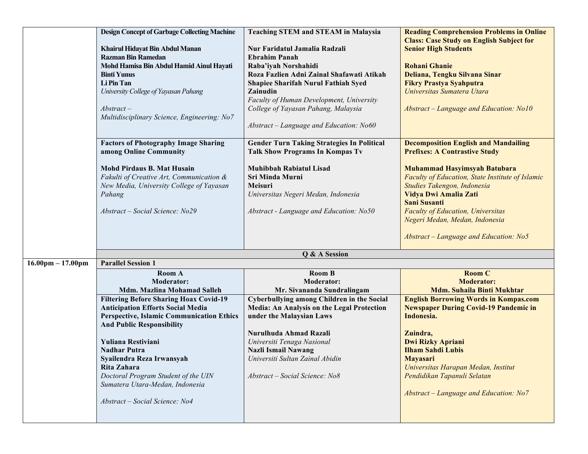|                                     | <b>Design Concept of Garbage Collecting Machine</b><br>Khairul Hidayat Bin Abdul Manan<br><b>Razman Bin Ramedan</b><br>Mohd Hamisa Bin Abdul Hamid Ainul Hayati<br><b>Binti Yunus</b><br>Li Pin Tan<br>University College of Yayasan Pahang<br>$Abstract-$<br>Multidisciplinary Science, Engineering: No7                                                                                                                                                                                       | <b>Teaching STEM and STEAM in Malaysia</b><br>Nur Faridatul Jamalia Radzali<br><b>Ebrahim Panah</b><br>Raba'iyah Norshahidi<br>Roza Fazlien Adni Zainal Shafawati Atikah<br><b>Shapiee Sharifah Nurul Fathiah Syed</b><br>Zainudin<br>Faculty of Human Development, University<br>College of Yayasan Pahang, Malaysia<br>$Abstract - Language$ and Education: No60 | <b>Reading Comprehension Problems in Online</b><br><b>Class: Case Study on English Subject for</b><br><b>Senior High Students</b><br><b>Rohani Ghanie</b><br>Deliana, Tengku Silvana Sinar<br><b>Fikry Prastya Syahputra</b><br>Universitas Sumatera Utara<br>Abstract - Language and Education: No10                                                                                        |
|-------------------------------------|-------------------------------------------------------------------------------------------------------------------------------------------------------------------------------------------------------------------------------------------------------------------------------------------------------------------------------------------------------------------------------------------------------------------------------------------------------------------------------------------------|--------------------------------------------------------------------------------------------------------------------------------------------------------------------------------------------------------------------------------------------------------------------------------------------------------------------------------------------------------------------|----------------------------------------------------------------------------------------------------------------------------------------------------------------------------------------------------------------------------------------------------------------------------------------------------------------------------------------------------------------------------------------------|
|                                     | <b>Factors of Photography Image Sharing</b><br>among Online Community                                                                                                                                                                                                                                                                                                                                                                                                                           | <b>Gender Turn Taking Strategies In Political</b><br><b>Talk Show Programs In Kompas Tv</b>                                                                                                                                                                                                                                                                        | <b>Decomposition English and Mandailing</b><br><b>Prefixes: A Contrastive Study</b>                                                                                                                                                                                                                                                                                                          |
|                                     | <b>Mohd Pirdaus B. Mat Husain</b><br>Fakulti of Creative Art, Communication &<br>New Media, University College of Yayasan<br>Pahang<br>Abstract – Social Science: No29                                                                                                                                                                                                                                                                                                                          | <b>Muhibbah Rabiatul Lisad</b><br>Sri Minda Murni<br>Meisuri<br>Universitas Negeri Medan, Indonesia<br>Abstract - Language and Education: No50                                                                                                                                                                                                                     | Muhammad Hasyimsyah Batubara<br>Faculty of Education, State Institute of Islamic<br>Studies Takengon, Indonesia<br>Vidya Dwi Amalia Zati<br><b>Sani Susanti</b><br><b>Faculty of Education</b> , Universitas<br>Negeri Medan, Medan, Indonesia<br>Abstract – Language and Education: No5                                                                                                     |
|                                     |                                                                                                                                                                                                                                                                                                                                                                                                                                                                                                 | Q & A Session                                                                                                                                                                                                                                                                                                                                                      |                                                                                                                                                                                                                                                                                                                                                                                              |
| $16.00 \text{pm} - 17.00 \text{pm}$ | <b>Parallel Session 1</b><br><b>Room A</b><br><b>Moderator:</b><br><b>Mdm. Mazlina Mohamad Salleh</b><br><b>Filtering Before Sharing Hoax Covid-19</b><br><b>Anticipation Efforts Social Media</b><br><b>Perspective, Islamic Communication Ethics</b><br><b>And Public Responsibility</b><br>Yuliana Restiviani<br><b>Nadhar Putra</b><br>Syailendra Reza Irwansyah<br>Rita Zahara<br>Doctoral Program Student of the UIN<br>Sumatera Utara-Medan, Indonesia<br>Abstract - Social Science: No4 | <b>Room B</b><br><b>Moderator:</b><br>Mr. Sivananda Sundralingam<br>Cyberbullying among Children in the Social<br>Media: An Analysis on the Legal Protection<br>under the Malaysian Laws<br>Nurulhuda Ahmad Razali<br>Universiti Tenaga Nasional<br><b>Nazli Ismail Nawang</b><br>Universiti Sultan Zainal Abidin<br>Abstract - Social Science: No8                | <b>Room C</b><br><b>Moderator:</b><br><b>Mdm. Suhaila Binti Mukhtar</b><br><b>English Borrowing Words in Kompas.com</b><br><b>Newspaper During Covid-19 Pandemic in</b><br>Indonesia.<br>Zuindra,<br><b>Dwi Rizky Apriani</b><br><b>Ilham Sahdi Lubis</b><br><b>Mayasari</b><br>Universitas Harapan Medan, Institut<br>Pendidikan Tapanuli Selatan<br>Abstract - Language and Education: No7 |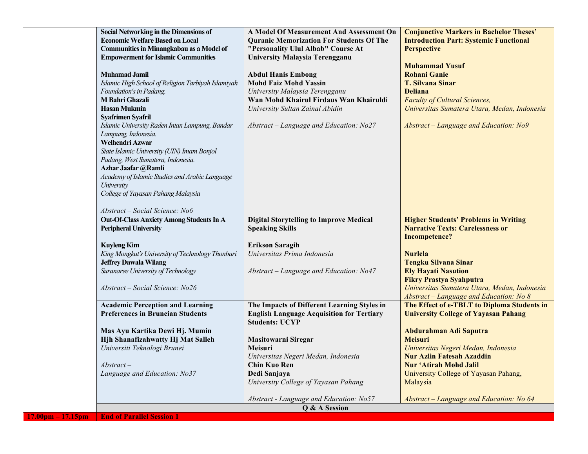|                     | Social Networking in the Dimensions of             | A Model Of Measurement And Assessment On         | <b>Conjunctive Markers in Bachelor Theses'</b> |
|---------------------|----------------------------------------------------|--------------------------------------------------|------------------------------------------------|
|                     | <b>Economic Welfare Based on Local</b>             | <b>Quranic Memorization For Students Of The</b>  | <b>Introduction Part: Systemic Functional</b>  |
|                     | <b>Communities in Minangkabau as a Model of</b>    | "Personality Ulul Albab" Course At               | <b>Perspective</b>                             |
|                     | <b>Empowerment for Islamic Communities</b>         | <b>University Malaysia Terengganu</b>            |                                                |
|                     |                                                    |                                                  | <b>Muhammad Yusuf</b>                          |
|                     | <b>Muhamad Jamil</b>                               | <b>Abdul Hanis Embong</b>                        | <b>Rohani Ganie</b>                            |
|                     | Islamic High School of Religion Tarbiyah Islamiyah | <b>Mohd Faiz Mohd Yassin</b>                     | <b>T. Silvana Sinar</b>                        |
|                     | Foundation's in Padang.                            | University Malaysia Terengganu                   | <b>Deliana</b>                                 |
|                     | M Bahri Ghazali                                    | Wan Mohd Khairul Firdaus Wan Khairuldi           | <b>Faculty of Cultural Sciences,</b>           |
|                     | <b>Hasan Mukmin</b>                                | University Sultan Zainal Abidin                  | Universitas Sumatera Utara, Medan, Indonesia   |
|                     | <b>Syafrimen Syafril</b>                           |                                                  |                                                |
|                     | Islamic University Raden Intan Lampung, Bandar     | Abstract – Language and Education: No27          | Abstract – Language and Education: No9         |
|                     | Lampung, Indonesia.                                |                                                  |                                                |
|                     | Welhendri Azwar                                    |                                                  |                                                |
|                     | State Islamic University (UIN) Imam Bonjol         |                                                  |                                                |
|                     | Padang, West Sumatera, Indonesia.                  |                                                  |                                                |
|                     | Azhar Jaafar @Ramli                                |                                                  |                                                |
|                     | Academy of Islamic Studies and Arabic Language     |                                                  |                                                |
|                     | University                                         |                                                  |                                                |
|                     | College of Yayasan Pahang Malaysia                 |                                                  |                                                |
|                     |                                                    |                                                  |                                                |
|                     | Abstract - Social Science: No6                     |                                                  |                                                |
|                     | <b>Out-Of-Class Anxiety Among Students In A</b>    | <b>Digital Storytelling to Improve Medical</b>   | <b>Higher Students' Problems in Writing</b>    |
|                     | <b>Peripheral University</b>                       | <b>Speaking Skills</b>                           | <b>Narrative Texts: Carelessness or</b>        |
|                     |                                                    |                                                  | <b>Incompetence?</b>                           |
|                     | <b>Kuyleng Kim</b>                                 | <b>Erikson Saragih</b>                           |                                                |
|                     | King Mongkut's University of Technology Thonburi   | Universitas Prima Indonesia                      | Nurlela                                        |
|                     | <b>Jeffrey Dawala Wilang</b>                       |                                                  | <b>Tengku Silvana Sinar</b>                    |
|                     | Suranaree University of Technology                 | Abstract - Language and Education: No47          | <b>Ely Hayati Nasution</b>                     |
|                     |                                                    |                                                  | <b>Fikry Prastya Syahputra</b>                 |
|                     | Abstract – Social Science: No26                    |                                                  | Universitas Sumatera Utara, Medan, Indonesia   |
|                     |                                                    |                                                  | Abstract - Language and Education: No 8        |
|                     | <b>Academic Perception and Learning</b>            | The Impacts of Different Learning Styles in      | The Effect of e-TBLT to Diploma Students in    |
|                     | <b>Preferences in Bruneian Students</b>            | <b>English Language Acquisition for Tertiary</b> | <b>University College of Yayasan Pahang</b>    |
|                     |                                                    | <b>Students: UCYP</b>                            |                                                |
|                     | Mas Ayu Kartika Dewi Hj. Mumin                     |                                                  | Abdurahman Adi Saputra                         |
|                     | Hjh Shanafizahwatty Hj Mat Salleh                  | <b>Masitowarni Siregar</b>                       | <b>Meisuri</b>                                 |
|                     | Universiti Teknologi Brunei                        | Meisuri                                          | Universitas Negeri Medan, Indonesia            |
|                     |                                                    | Universitas Negeri Medan, Indonesia              | <b>Nur Azlin Fatesah Azaddin</b>               |
|                     | $Abstract-$                                        | <b>Chin Kuo Ren</b>                              | <b>Nur 'Atirah Mohd Jalil</b>                  |
|                     | Language and Education: No37                       | Dedi Sanjaya                                     | University College of Yayasan Pahang,          |
|                     |                                                    | University College of Yayasan Pahang             | Malaysia                                       |
|                     |                                                    |                                                  |                                                |
|                     |                                                    | Abstract - Language and Education: No57          | Abstract - Language and Education: No 64       |
|                     |                                                    | Q & A Session                                    |                                                |
| $17.00pm - 17.15pm$ | <b>End of Parallel Session 1</b>                   |                                                  |                                                |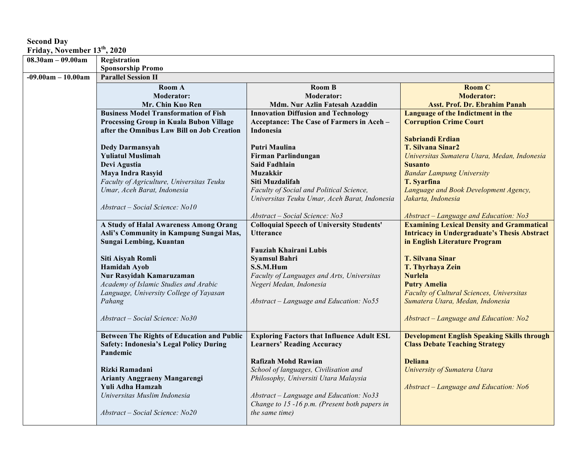## **Second Day**

**Friday, November 13th, 2020**

| <b>Friday, November 15°, 2020</b> |                                                                                                     |                                                                                        |                                                                                             |
|-----------------------------------|-----------------------------------------------------------------------------------------------------|----------------------------------------------------------------------------------------|---------------------------------------------------------------------------------------------|
| $08.30$ am - 09.00am              | Registration                                                                                        |                                                                                        |                                                                                             |
|                                   | <b>Sponsorship Promo</b>                                                                            |                                                                                        |                                                                                             |
| $-09.00am - 10.00am$              | <b>Parallel Session II</b>                                                                          |                                                                                        |                                                                                             |
|                                   | Room A                                                                                              | <b>Room B</b>                                                                          | <b>Room C</b>                                                                               |
|                                   | <b>Moderator:</b>                                                                                   | <b>Moderator:</b>                                                                      | <b>Moderator:</b>                                                                           |
|                                   | Mr. Chin Kuo Ren                                                                                    | Mdm. Nur Azlin Fatesah Azaddin                                                         | <b>Asst. Prof. Dr. Ebrahim Panah</b>                                                        |
|                                   | <b>Business Model Transformation of Fish</b>                                                        | <b>Innovation Diffusion and Technology</b>                                             | Language of the Indictment in the                                                           |
|                                   | Processing Group in Kuala Bubon Village                                                             | Acceptance: The Case of Farmers in Aceh -                                              | <b>Corruption Crime Court</b>                                                               |
|                                   | after the Omnibus Law Bill on Job Creation                                                          | Indonesia                                                                              |                                                                                             |
|                                   |                                                                                                     |                                                                                        | Sabriandi Erdian                                                                            |
|                                   | <b>Dedy Darmansyah</b>                                                                              | Putri Maulina                                                                          | <b>T. Silvana Sinar2</b>                                                                    |
|                                   | <b>Yuliatul Muslimah</b>                                                                            | Firman Parlindungan                                                                    | Universitas Sumatera Utara, Medan, Indonesia                                                |
|                                   | Devi Agustia                                                                                        | <b>Said Fadhlain</b>                                                                   | <b>Susanto</b>                                                                              |
|                                   | Maya Indra Rasyid                                                                                   | <b>Muzakkir</b>                                                                        | <b>Bandar Lampung University</b>                                                            |
|                                   | Faculty of Agriculture, Universitas Teuku                                                           | Siti Muzdalifah                                                                        | <b>T. Syarfina</b>                                                                          |
|                                   | Umar, Aceh Barat, Indonesia                                                                         | Faculty of Social and Political Science,                                               | Language and Book Development Agency,                                                       |
|                                   |                                                                                                     | Universitas Teuku Umar, Aceh Barat, Indonesia                                          | Jakarta, Indonesia                                                                          |
|                                   | Abstract - Social Science: No10                                                                     |                                                                                        |                                                                                             |
|                                   |                                                                                                     | Abstract - Social Science: No3                                                         | Abstract - Language and Education: No3                                                      |
|                                   | A Study of Halal Awareness Among Orang                                                              | <b>Colloquial Speech of University Students'</b>                                       | <b>Examining Lexical Density and Grammatical</b>                                            |
|                                   | Asli's Community in Kampung Sungai Mas,                                                             | <b>Utterance</b>                                                                       | <b>Intricacy in Undergraduate's Thesis Abstract</b>                                         |
|                                   | Sungai Lembing, Kuantan                                                                             |                                                                                        | in English Literature Program                                                               |
|                                   |                                                                                                     | Fauziah Khairani Lubis                                                                 |                                                                                             |
|                                   | Siti Aisyah Romli                                                                                   | <b>Syamsul Bahri</b>                                                                   | <b>T. Silvana Sinar</b>                                                                     |
|                                   | <b>Hamidah Ayob</b>                                                                                 | S.S.M.Hum                                                                              | T. Thyrhaya Zein                                                                            |
|                                   | Nur Rasyidah Kamaruzaman                                                                            | Faculty of Languages and Arts, Universitas                                             | <b>Nurlela</b>                                                                              |
|                                   | Academy of Islamic Studies and Arabic                                                               | Negeri Medan, Indonesia                                                                | <b>Putry Amelia</b>                                                                         |
|                                   | Language, University College of Yayasan                                                             |                                                                                        | Faculty of Cultural Sciences, Universitas                                                   |
|                                   | Pahang                                                                                              | Abstract – Language and Education: No55                                                | Sumatera Utara, Medan, Indonesia                                                            |
|                                   |                                                                                                     |                                                                                        |                                                                                             |
|                                   | Abstract – Social Science: No30                                                                     |                                                                                        | Abstract - Language and Education: No2                                                      |
|                                   |                                                                                                     |                                                                                        |                                                                                             |
|                                   | <b>Between The Rights of Education and Public</b><br><b>Safety: Indonesia's Legal Policy During</b> | <b>Exploring Factors that Influence Adult ESL</b><br><b>Learners' Reading Accuracy</b> | <b>Development English Speaking Skills through</b><br><b>Class Debate Teaching Strategy</b> |
|                                   | Pandemic                                                                                            |                                                                                        |                                                                                             |
|                                   |                                                                                                     | <b>Rafizah Mohd Rawian</b>                                                             | <b>Deliana</b>                                                                              |
|                                   | Rizki Ramadani                                                                                      | School of languages, Civilisation and                                                  | University of Sumatera Utara                                                                |
|                                   | <b>Arianty Anggraeny Mangarengi</b>                                                                 | Philosophy, Universiti Utara Malaysia                                                  |                                                                                             |
|                                   | Yuli Adha Hamzah                                                                                    |                                                                                        | Abstract - Language and Education: No6                                                      |
|                                   | Universitas Muslim Indonesia                                                                        | Abstract - Language and Education: No33                                                |                                                                                             |
|                                   |                                                                                                     | Change to 15 -16 p.m. (Present both papers in                                          |                                                                                             |
|                                   | Abstract - Social Science: No20                                                                     | <i>the same time)</i>                                                                  |                                                                                             |
|                                   |                                                                                                     |                                                                                        |                                                                                             |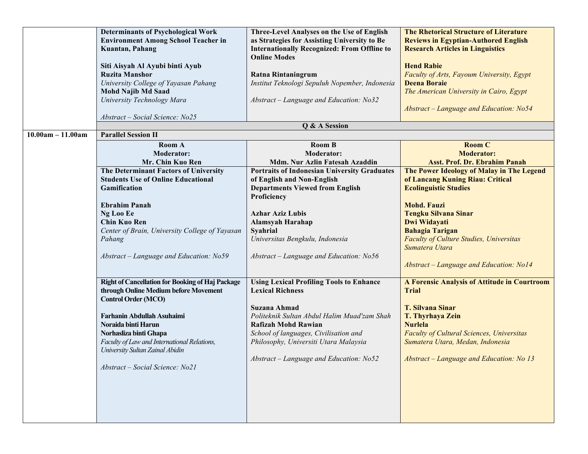|                     | <b>Determinants of Psychological Work</b><br><b>Environment Among School Teacher in</b><br>Kuantan, Pahang<br>Siti Aisyah Al Ayubi binti Ayub<br><b>Ruzita Manshor</b><br>University College of Yayasan Pahang<br><b>Mohd Najib Md Saad</b><br>University Technology Mara<br>Abstract - Social Science: No25 | Three-Level Analyses on the Use of English<br>as Strategies for Assisting University to Be<br><b>Internationally Recognized: From Offline to</b><br><b>Online Modes</b><br><b>Ratna Rintaningrum</b><br>Institut Teknologi Sepuluh Nopember, Indonesia<br>Abstract - Language and Education: No32<br>Q & A Session | <b>The Rhetorical Structure of Literature</b><br><b>Reviews in Egyptian-Authored English</b><br><b>Research Articles in Linguistics</b><br><b>Hend Rabie</b><br>Faculty of Arts, Fayoum University, Egypt<br><b>Deena Boraie</b><br>The American University in Cairo, Egypt<br>Abstract – Language and Education: No54 |
|---------------------|--------------------------------------------------------------------------------------------------------------------------------------------------------------------------------------------------------------------------------------------------------------------------------------------------------------|--------------------------------------------------------------------------------------------------------------------------------------------------------------------------------------------------------------------------------------------------------------------------------------------------------------------|------------------------------------------------------------------------------------------------------------------------------------------------------------------------------------------------------------------------------------------------------------------------------------------------------------------------|
| $10.00am - 11.00am$ | <b>Parallel Session II</b>                                                                                                                                                                                                                                                                                   |                                                                                                                                                                                                                                                                                                                    |                                                                                                                                                                                                                                                                                                                        |
|                     | Room A<br><b>Moderator:</b><br>Mr. Chin Kuo Ren                                                                                                                                                                                                                                                              | <b>Room B</b><br><b>Moderator:</b><br>Mdm. Nur Azlin Fatesah Azaddin                                                                                                                                                                                                                                               | <b>Room C</b><br><b>Moderator:</b><br>Asst. Prof. Dr. Ebrahim Panah                                                                                                                                                                                                                                                    |
|                     | The Determinant Factors of University<br><b>Students Use of Online Educational</b><br>Gamification                                                                                                                                                                                                           | <b>Portraits of Indonesian University Graduates</b><br>of English and Non-English<br><b>Departments Viewed from English</b><br>Proficiency                                                                                                                                                                         | The Power Ideology of Malay in The Legend<br>of Lancang Kuning Riau: Critical<br><b>Ecolinguistic Studies</b>                                                                                                                                                                                                          |
|                     | <b>Ebrahim Panah</b><br>Ng Loo Ee<br><b>Chin Kuo Ren</b><br>Center of Brain, University College of Yayasan<br>Pahang                                                                                                                                                                                         | <b>Azhar Aziz Lubis</b><br>Alamsyah Harahap<br><b>Syahrial</b><br>Universitas Bengkulu, Indonesia                                                                                                                                                                                                                  | <b>Mohd. Fauzi</b><br><b>Tengku Silvana Sinar</b><br>Dwi Widayati<br><b>Bahagia Tarigan</b><br>Faculty of Culture Studies, Universitas<br>Sumatera Utara                                                                                                                                                               |
|                     | Abstract - Language and Education: No59                                                                                                                                                                                                                                                                      | Abstract - Language and Education: No56                                                                                                                                                                                                                                                                            | Abstract - Language and Education: No14                                                                                                                                                                                                                                                                                |
|                     | <b>Right of Cancellation for Booking of Haj Package</b><br>through Online Medium before Movement<br><b>Control Order (MCO)</b>                                                                                                                                                                               | <b>Using Lexical Profiling Tools to Enhance</b><br><b>Lexical Richness</b>                                                                                                                                                                                                                                         | A Forensic Analysis of Attitude in Courtroom<br><b>Trial</b>                                                                                                                                                                                                                                                           |
|                     | Farhanin Abdullah Asuhaimi<br>Noraida binti Harun<br>Norhasliza binti Ghapa<br>Faculty of Law and International Relations,<br>University Sultan Zainal Abidin<br>Abstract - Social Science: No21                                                                                                             | Suzana Ahmad<br>Politeknik Sultan Abdul Halim Muad'zam Shah<br><b>Rafizah Mohd Rawian</b><br>School of languages, Civilisation and<br>Philosophy, Universiti Utara Malaysia<br>Abstract - Language and Education: No52                                                                                             | <b>T. Silvana Sinar</b><br>T. Thyrhaya Zein<br><b>Nurlela</b><br><b>Faculty of Cultural Sciences, Universitas</b><br>Sumatera Utara, Medan, Indonesia<br>Abstract - Language and Education: No 13                                                                                                                      |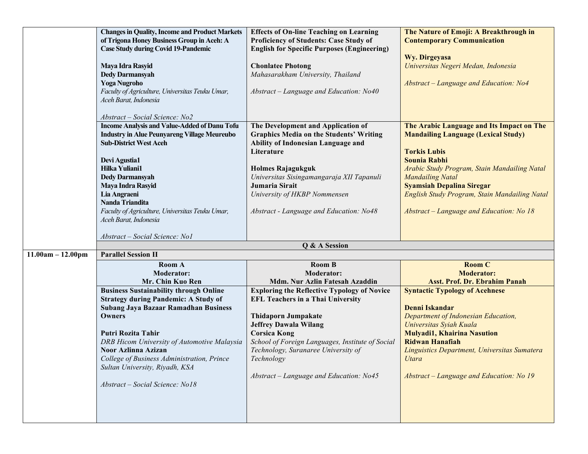|                     | <b>Changes in Quality, Income and Product Markets</b><br>of Trigona Honey Business Group in Aceh: A<br><b>Case Study during Covid 19-Pandemic</b><br>Maya Idra Rasyid<br><b>Dedy Darmansyah</b>                                                                                                                                                                      | <b>Effects of On-line Teaching on Learning</b><br>Proficiency of Students: Case Study of<br><b>English for Specific Purposes (Engineering)</b><br><b>Chonlatee Photong</b><br>Mahasarakham University, Thailand                                                                                                                  | The Nature of Emoji: A Breakthrough in<br><b>Contemporary Communication</b><br>Wy. Dirgeyasa<br>Universitas Negeri Medan, Indonesia                                                                                                                                                            |
|---------------------|----------------------------------------------------------------------------------------------------------------------------------------------------------------------------------------------------------------------------------------------------------------------------------------------------------------------------------------------------------------------|----------------------------------------------------------------------------------------------------------------------------------------------------------------------------------------------------------------------------------------------------------------------------------------------------------------------------------|------------------------------------------------------------------------------------------------------------------------------------------------------------------------------------------------------------------------------------------------------------------------------------------------|
|                     | <b>Yoga Nugroho</b><br>Faculty of Agriculture, Universitas Teuku Umar,<br>Aceh Barat, Indonesia<br>Abstract - Social Science: No2                                                                                                                                                                                                                                    | Abstract – Language and Education: No40                                                                                                                                                                                                                                                                                          | Abstract - Language and Education: No4                                                                                                                                                                                                                                                         |
|                     | <b>Income Analysis and Value-Added of Danu Tofu</b><br><b>Industry in Alue Peunyareng Village Meureubo</b><br><b>Sub-District West Aceh</b><br>Devi Agustia1<br>Hilka Yuliani1<br><b>Dedy Darmansyah</b>                                                                                                                                                             | The Development and Application of<br><b>Graphics Media on the Students' Writing</b><br>Ability of Indonesian Language and<br>Literature<br>Holmes Rajagukguk<br>Universitas Sisingamangaraja XII Tapanuli                                                                                                                       | The Arabic Language and Its Impact on The<br><b>Mandailing Language (Lexical Study)</b><br><b>Torkis Lubis</b><br><b>Sounia Rabhi</b><br>Arabic Study Program, Stain Mandailing Natal<br><b>Mandailing Natal</b>                                                                               |
|                     | Maya Indra Rasyid<br>Lia Angraeni<br><b>Nanda Triandita</b><br>Faculty of Agriculture, Universitas Teuku Umar,<br>Aceh Barat, Indonesia<br>Abstract – Social Science: No1                                                                                                                                                                                            | Jumaria Sirait<br>University of HKBP Nommensen<br>Abstract - Language and Education: No48                                                                                                                                                                                                                                        | <b>Syamsiah Depalina Siregar</b><br>English Study Program, Stain Mandailing Natal<br>Abstract - Language and Education: No 18                                                                                                                                                                  |
|                     |                                                                                                                                                                                                                                                                                                                                                                      | Q & A Session                                                                                                                                                                                                                                                                                                                    |                                                                                                                                                                                                                                                                                                |
| $11.00am - 12.00pm$ | <b>Parallel Session II</b><br>Room A<br><b>Moderator:</b><br>Mr. Chin Kuo Ren                                                                                                                                                                                                                                                                                        | <b>Room B</b><br><b>Moderator:</b><br>Mdm. Nur Azlin Fatesah Azaddin                                                                                                                                                                                                                                                             | <b>Room C</b><br><b>Moderator:</b><br><b>Asst. Prof. Dr. Ebrahim Panah</b>                                                                                                                                                                                                                     |
|                     | <b>Business Sustainability through Online</b><br><b>Strategy during Pandemic: A Study of</b><br><b>Subang Jaya Bazaar Ramadhan Business</b><br>Owners<br>Putri Rozita Tahir<br>DRB Hicom University of Automotive Malaysia<br>Noor Azlinna Azizan<br>College of Business Administration, Prince<br>Sultan University, Riyadh, KSA<br>Abstract - Social Science: No18 | <b>Exploring the Reflective Typology of Novice</b><br><b>EFL Teachers in a Thai University</b><br>Thidaporn Jumpakate<br><b>Jeffrey Dawala Wilang</b><br><b>Corsica Kong</b><br>School of Foreign Languages, Institute of Social<br>Technology, Suranaree University of<br>Technology<br>Abstract - Language and Education: No45 | <b>Syntactic Typology of Acehnese</b><br>Denni Iskandar<br>Department of Indonesian Education,<br>Universitas Syiah Kuala<br><b>Mulyadi1, Khairina Nasution</b><br><b>Ridwan Hanafiah</b><br>Linguistics Department, Universitas Sumatera<br>Utara<br>Abstract - Language and Education: No 19 |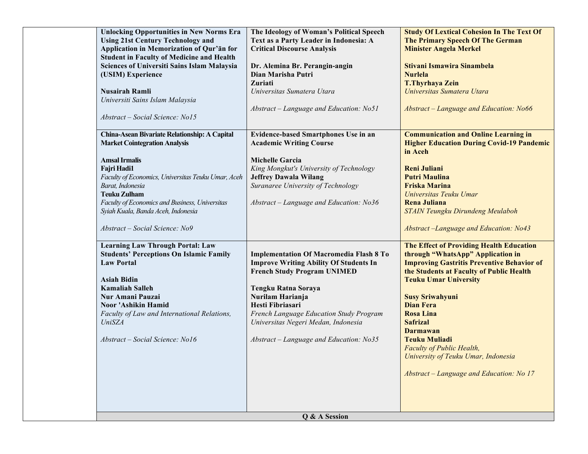| <b>Unlocking Opportunities in New Norms Era</b><br><b>Using 21st Century Technology and</b><br>Application in Memorization of Qur'an for<br><b>Student in Faculty of Medicine and Health</b><br><b>Sciences of Universiti Sains Islam Malaysia</b><br>(USIM) Experience<br><b>Nusairah Ramli</b><br>Universiti Sains Islam Malaysia<br>Abstract - Social Science: No15 | The Ideology of Woman's Political Speech<br>Text as a Party Leader in Indonesia: A<br><b>Critical Discourse Analysis</b><br>Dr. Alemina Br. Perangin-angin<br>Dian Marisha Putri<br>Zuriati<br>Universitas Sumatera Utara<br>Abstract - Language and Education: No51                                                              | <b>Study Of Lextical Cohesion In The Text Of</b><br>The Primary Speech Of The German<br><b>Minister Angela Merkel</b><br>Stivani Ismawira Sinambela<br><b>Nurlela</b><br><b>T.Thyrhaya Zein</b><br>Universitas Sumatera Utara<br>Abstract - Language and Education: No66                                                                                                                                                                                       |
|------------------------------------------------------------------------------------------------------------------------------------------------------------------------------------------------------------------------------------------------------------------------------------------------------------------------------------------------------------------------|-----------------------------------------------------------------------------------------------------------------------------------------------------------------------------------------------------------------------------------------------------------------------------------------------------------------------------------|----------------------------------------------------------------------------------------------------------------------------------------------------------------------------------------------------------------------------------------------------------------------------------------------------------------------------------------------------------------------------------------------------------------------------------------------------------------|
| China-Asean Bivariate Relationship: A Capital<br><b>Market Cointegration Analysis</b><br><b>Amsal Irmalis</b><br>Fajri Hadi1<br>Faculty of Economics, Universitas Teuku Umar, Aceh<br>Barat, Indonesia<br><b>Teuku Zulham</b><br>Faculty of Economics and Business, Universitas<br>Syiah Kuala, Banda Aceh, Indonesia<br>Abstract – Social Science: No9                | Evidence-based Smartphones Use in an<br><b>Academic Writing Course</b><br><b>Michelle Garcia</b><br>King Mongkut's University of Technology<br><b>Jeffrey Dawala Wilang</b><br>Suranaree University of Technology<br>Abstract - Language and Education: No36                                                                      | <b>Communication and Online Learning in</b><br><b>Higher Education During Covid-19 Pandemic</b><br>in Aceh<br><b>Reni Juliani</b><br><b>Putri Maulina</b><br><b>Friska Marina</b><br>Universitas Teuku Umar<br><b>Rena Juliana</b><br>STAIN Teungku Dirundeng Meulaboh<br><b>Abstract-Language and Education: No43</b>                                                                                                                                         |
| <b>Learning Law Through Portal: Law</b><br><b>Students' Perceptions On Islamic Family</b><br><b>Law Portal</b><br><b>Asiah Bidin</b><br><b>Kamaliah Salleh</b><br>Nur Amani Pauzai<br>Noor 'Ashikin Hamid<br>Faculty of Law and International Relations,<br><b>UniSZA</b><br>Abstract - Social Science: No16                                                           | <b>Implementation Of Macromedia Flash 8 To</b><br><b>Improve Writing Ability Of Students In</b><br><b>French Study Program UNIMED</b><br>Tengku Ratna Soraya<br>Nurilam Harianja<br>Hesti Fibriasari<br>French Language Education Study Program<br>Universitas Negeri Medan, Indonesia<br>Abstract - Language and Education: No35 | The Effect of Providing Health Education<br>through "WhatsApp" Application in<br><b>Improving Gastritis Preventive Behavior of</b><br>the Students at Faculty of Public Health<br><b>Teuku Umar University</b><br><b>Susy Sriwahyuni</b><br><b>Dian Fera</b><br><b>Rosa Lina</b><br><b>Safrizal</b><br><b>Darmawan</b><br><b>Teuku Muliadi</b><br>Faculty of Public Health,<br>University of Teuku Umar, Indonesia<br>Abstract - Language and Education: No 17 |
|                                                                                                                                                                                                                                                                                                                                                                        | Q & A Session                                                                                                                                                                                                                                                                                                                     |                                                                                                                                                                                                                                                                                                                                                                                                                                                                |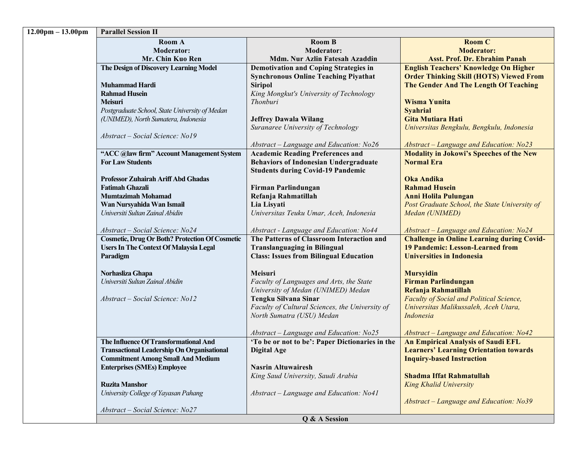| $12.00 \text{pm} - 13.00 \text{pm}$ | <b>Parallel Session II</b>                                           |                                                                                         |                                                                      |
|-------------------------------------|----------------------------------------------------------------------|-----------------------------------------------------------------------------------------|----------------------------------------------------------------------|
|                                     | Room A                                                               | <b>Room B</b>                                                                           | <b>Room C</b>                                                        |
|                                     | <b>Moderator:</b>                                                    | <b>Moderator:</b>                                                                       | <b>Moderator:</b>                                                    |
|                                     | Mr. Chin Kuo Ren                                                     | Mdm. Nur Azlin Fatesah Azaddin                                                          | <b>Asst. Prof. Dr. Ebrahim Panah</b>                                 |
|                                     | The Design of Discovery Learning Model                               | <b>Demotivation and Coping Strategies in</b>                                            | <b>English Teachers' Knowledge On Higher</b>                         |
|                                     |                                                                      | <b>Synchronous Online Teaching Piyathat</b>                                             | <b>Order Thinking Skill (HOTS) Viewed From</b>                       |
|                                     | <b>Muhammad Hardi</b>                                                | <b>Siripol</b>                                                                          | The Gender And The Length Of Teaching                                |
|                                     | <b>Rahmad Husein</b>                                                 | King Mongkut's University of Technology                                                 |                                                                      |
|                                     | <b>Meisuri</b>                                                       | Thonburi                                                                                | <b>Wisma Yunita</b>                                                  |
|                                     | Postgraduate School, State University of Medan                       |                                                                                         | <b>Syahrial</b>                                                      |
|                                     | (UNIMED), North Sumatera, Indonesia                                  | <b>Jeffrey Dawala Wilang</b>                                                            | <b>Gita Mutiara Hati</b>                                             |
|                                     |                                                                      | Suranaree University of Technology                                                      | Universitas Bengkulu, Bengkulu, Indonesia                            |
|                                     | Abstract - Social Science: No19                                      |                                                                                         |                                                                      |
|                                     |                                                                      | Abstract - Language and Education: No26                                                 | Abstract - Language and Education: No23                              |
|                                     | "ACC @law firm" Account Management System<br><b>For Law Students</b> | <b>Academic Reading Preferences and</b><br><b>Behaviors of Indonesian Undergraduate</b> | <b>Modality in Jokowi's Speeches of the New</b><br><b>Normal Era</b> |
|                                     |                                                                      | <b>Students during Covid-19 Pandemic</b>                                                |                                                                      |
|                                     | <b>Professor Zuhairah Ariff Abd Ghadas</b>                           |                                                                                         | Oka Andika                                                           |
|                                     | <b>Fatimah Ghazali</b>                                               | Firman Parlindungan                                                                     | <b>Rahmad Husein</b>                                                 |
|                                     | <b>Mumtazimah Mohamad</b>                                            | Refanja Rahmatillah                                                                     | <b>Anni Holila Pulungan</b>                                          |
|                                     | Wan Nursyahida Wan Ismail                                            | Lia Lisyati                                                                             | Post Graduate School, the State University of                        |
|                                     | Universiti Sultan Zainal Abidin                                      | Universitas Teuku Umar, Aceh, Indonesia                                                 | Medan (UNIMED)                                                       |
|                                     |                                                                      |                                                                                         |                                                                      |
|                                     | Abstract - Social Science: No24                                      | Abstract - Language and Education: No44                                                 | Abstract - Language and Education: No24                              |
|                                     | <b>Cosmetic, Drug Or Both? Protection Of Cosmetic</b>                | The Patterns of Classroom Interaction and                                               | <b>Challenge in Online Learning during Covid-</b>                    |
|                                     | <b>Users In The Context Of Malaysia Legal</b>                        | <b>Translanguaging in Bilingual</b>                                                     | <b>19 Pandemic: Lesson-Learned from</b>                              |
|                                     | Paradigm                                                             | <b>Class: Issues from Bilingual Education</b>                                           | <b>Universities in Indonesia</b>                                     |
|                                     |                                                                      | <b>Meisuri</b>                                                                          |                                                                      |
|                                     | Norhasliza Ghapa<br>Universiti Sultan Zainal Abidin                  | Faculty of Languages and Arts, the State                                                | <b>Mursyidin</b><br>Firman Parlindungan                              |
|                                     |                                                                      | University of Medan (UNIMED) Medan                                                      | Refanja Rahmatillah                                                  |
|                                     | Abstract – Social Science: No12                                      | Tengku Silvana Sinar                                                                    | Faculty of Social and Political Science,                             |
|                                     |                                                                      | Faculty of Cultural Sciences, the University of                                         | Universitas Malikussaleh, Aceh Utara,                                |
|                                     |                                                                      | North Sumatra (USU) Medan                                                               | Indonesia                                                            |
|                                     |                                                                      |                                                                                         |                                                                      |
|                                     |                                                                      | Abstract - Language and Education: No25                                                 | Abstract - Language and Education: No42                              |
|                                     | The Influence Of Transformational And                                | 'To be or not to be': Paper Dictionaries in the                                         | <b>An Empirical Analysis of Saudi EFL</b>                            |
|                                     | <b>Transactional Leadership On Organisational</b>                    | <b>Digital Age</b>                                                                      | <b>Learners' Learning Orientation towards</b>                        |
|                                     | <b>Commitment Among Small And Medium</b>                             |                                                                                         | <b>Inquiry-based Instruction</b>                                     |
|                                     | <b>Enterprises (SMEs) Employee</b>                                   | <b>Nasrin Altuwairesh</b>                                                               |                                                                      |
|                                     |                                                                      | King Saud University, Saudi Arabia                                                      | <b>Shadma Iffat Rahmatullah</b>                                      |
|                                     | <b>Ruzita Manshor</b>                                                |                                                                                         | <b>King Khalid University</b>                                        |
|                                     | University College of Yayasan Pahang                                 | Abstract - Language and Education: No41                                                 |                                                                      |
|                                     |                                                                      |                                                                                         | Abstract - Language and Education: No39                              |
|                                     | Abstract - Social Science: No27                                      |                                                                                         |                                                                      |
|                                     |                                                                      | Q & A Session                                                                           |                                                                      |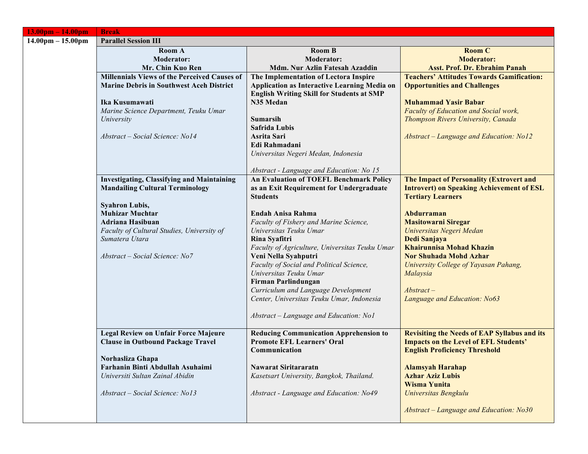| $13.00pm - 14.00pm$                 | <b>Break</b>                                      |                                                  |                                                     |
|-------------------------------------|---------------------------------------------------|--------------------------------------------------|-----------------------------------------------------|
| $14.00 \text{pm} - 15.00 \text{pm}$ | <b>Parallel Session III</b>                       |                                                  |                                                     |
|                                     | <b>Room A</b>                                     | <b>Room B</b>                                    | <b>Room C</b>                                       |
|                                     | <b>Moderator:</b>                                 | <b>Moderator:</b>                                | <b>Moderator:</b>                                   |
|                                     | Mr. Chin Kuo Ren                                  | Mdm. Nur Azlin Fatesah Azaddin                   | <b>Asst. Prof. Dr. Ebrahim Panah</b>                |
|                                     | Millennials Views of the Perceived Causes of      | The Implementation of Lectora Inspire            | <b>Teachers' Attitudes Towards Gamification:</b>    |
|                                     | <b>Marine Debris in Southwest Aceh District</b>   | Application as Interactive Learning Media on     | <b>Opportunities and Challenges</b>                 |
|                                     |                                                   | <b>English Writing Skill for Students at SMP</b> |                                                     |
|                                     | Ika Kusumawati                                    | N35 Medan                                        | <b>Muhammad Yasir Babar</b>                         |
|                                     | Marine Science Department, Teuku Umar             |                                                  | Faculty of Education and Social work,               |
|                                     | University                                        | <b>Sumarsih</b><br><b>Safrida Lubis</b>          | Thompson Rivers University, Canada                  |
|                                     | Abstract – Social Science: No14                   | Asrita Sari                                      | Abstract - Language and Education: No12             |
|                                     |                                                   | Edi Rahmadani                                    |                                                     |
|                                     |                                                   | Universitas Negeri Medan, Indonesia              |                                                     |
|                                     |                                                   |                                                  |                                                     |
|                                     |                                                   | Abstract - Language and Education: No 15         |                                                     |
|                                     | <b>Investigating, Classifying and Maintaining</b> | <b>An Evaluation of TOEFL Benchmark Policy</b>   | The Impact of Personality (Extrovert and            |
|                                     | <b>Mandailing Cultural Terminology</b>            | as an Exit Requirement for Undergraduate         | <b>Introvert) on Speaking Achievement of ESL</b>    |
|                                     |                                                   | <b>Students</b>                                  | <b>Tertiary Learners</b>                            |
|                                     | <b>Syahron Lubis,</b>                             |                                                  |                                                     |
|                                     | <b>Muhizar Muchtar</b>                            | Endah Anisa Rahma                                | Abdurraman                                          |
|                                     | <b>Adriana Hasibuan</b>                           | Faculty of Fishery and Marine Science,           | <b>Masitowarni Siregar</b>                          |
|                                     | Faculty of Cultural Studies, University of        | Universitas Teuku Umar                           | Universitas Negeri Medan                            |
|                                     | Sumatera Utara                                    | Rina Syafitri                                    | Dedi Sanjaya                                        |
|                                     |                                                   | Faculty of Agriculture, Universitas Teuku Umar   | <b>Khairunnisa Mohad Khazin</b>                     |
|                                     | Abstract – Social Science: No7                    | Veni Nella Syahputri                             | <b>Nor Shuhada Mohd Azhar</b>                       |
|                                     |                                                   | Faculty of Social and Political Science,         | University College of Yayasan Pahang,               |
|                                     |                                                   | Universitas Teuku Umar                           | Malaysia                                            |
|                                     |                                                   | Firman Parlindungan                              |                                                     |
|                                     |                                                   | Curriculum and Language Development              | $Abstract-$                                         |
|                                     |                                                   | Center, Universitas Teuku Umar, Indonesia        | Language and Education: No63                        |
|                                     |                                                   | Abstract – Language and Education: No1           |                                                     |
|                                     |                                                   |                                                  |                                                     |
|                                     | <b>Legal Review on Unfair Force Majeure</b>       | <b>Reducing Communication Apprehension to</b>    | <b>Revisiting the Needs of EAP Syllabus and its</b> |
|                                     | <b>Clause in Outbound Package Travel</b>          | <b>Promote EFL Learners' Oral</b>                | <b>Impacts on the Level of EFL Students'</b>        |
|                                     |                                                   | Communication                                    | <b>English Proficiency Threshold</b>                |
|                                     | Norhasliza Ghapa                                  |                                                  |                                                     |
|                                     | Farhanin Binti Abdullah Asuhaimi                  | Nawarat Siritararatn                             | <b>Alamsyah Harahap</b>                             |
|                                     | Universiti Sultan Zainal Abidin                   | Kasetsart University, Bangkok, Thailand.         | <b>Azhar Aziz Lubis</b>                             |
|                                     |                                                   |                                                  | <b>Wisma Yunita</b>                                 |
|                                     | Abstract - Social Science: No13                   | Abstract - Language and Education: No49          | Universitas Bengkulu                                |
|                                     |                                                   |                                                  |                                                     |
|                                     |                                                   |                                                  | Abstract – Language and Education: No30             |
|                                     |                                                   |                                                  |                                                     |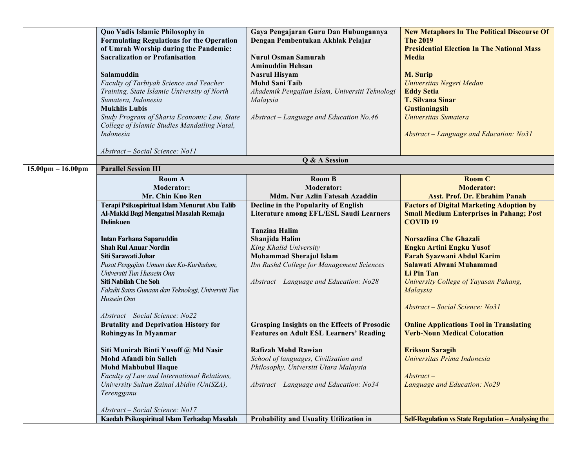|                                     | Quo Vadis Islamic Philosophy in<br><b>Formulating Regulations for the Operation</b><br>of Umrah Worship during the Pandemic:<br><b>Sacralization or Profanisation</b><br>Salamuddin<br>Faculty of Tarbiyah Science and Teacher<br>Training, State Islamic University of North<br>Sumatera, Indonesia<br><b>Mukhlis Lubis</b><br>Study Program of Sharia Economic Law, State<br>College of Islamic Studies Mandailing Natal,<br>Indonesia | Gaya Pengajaran Guru Dan Hubungannya<br>Dengan Pembentukan Akhlak Pelajar<br><b>Nurul Osman Samurah</b><br><b>Aminuddin Hehsan</b><br><b>Nasrul Hisyam</b><br><b>Mohd Sani Taib</b><br>Akademik Pengajian Islam, Universiti Teknologi<br>Malaysia<br>Abstract - Language and Education No.46 | <b>New Metaphors In The Political Discourse Of</b><br><b>The 2019</b><br><b>Presidential Election In The National Mass</b><br><b>Media</b><br><b>M. Surip</b><br>Universitas Negeri Medan<br><b>Eddy Setia</b><br><b>T. Silvana Sinar</b><br><b>Gustianingsih</b><br>Universitas Sumatera<br>Abstract - Language and Education: No31 |
|-------------------------------------|------------------------------------------------------------------------------------------------------------------------------------------------------------------------------------------------------------------------------------------------------------------------------------------------------------------------------------------------------------------------------------------------------------------------------------------|----------------------------------------------------------------------------------------------------------------------------------------------------------------------------------------------------------------------------------------------------------------------------------------------|--------------------------------------------------------------------------------------------------------------------------------------------------------------------------------------------------------------------------------------------------------------------------------------------------------------------------------------|
|                                     | Abstract – Social Science: No11                                                                                                                                                                                                                                                                                                                                                                                                          |                                                                                                                                                                                                                                                                                              |                                                                                                                                                                                                                                                                                                                                      |
|                                     |                                                                                                                                                                                                                                                                                                                                                                                                                                          | Q & A Session                                                                                                                                                                                                                                                                                |                                                                                                                                                                                                                                                                                                                                      |
| $15.00 \text{pm} - 16.00 \text{pm}$ | <b>Parallel Session III</b>                                                                                                                                                                                                                                                                                                                                                                                                              |                                                                                                                                                                                                                                                                                              |                                                                                                                                                                                                                                                                                                                                      |
|                                     | <b>Room A</b><br><b>Moderator:</b>                                                                                                                                                                                                                                                                                                                                                                                                       | <b>Room B</b><br><b>Moderator:</b>                                                                                                                                                                                                                                                           | <b>Room C</b><br><b>Moderator:</b>                                                                                                                                                                                                                                                                                                   |
|                                     | Mr. Chin Kuo Ren                                                                                                                                                                                                                                                                                                                                                                                                                         | Mdm. Nur Azlin Fatesah Azaddin                                                                                                                                                                                                                                                               | <b>Asst. Prof. Dr. Ebrahim Panah</b>                                                                                                                                                                                                                                                                                                 |
|                                     | Terapi Psikospiritual Islam Menurut Abu Talib                                                                                                                                                                                                                                                                                                                                                                                            | Decline in the Popularity of English                                                                                                                                                                                                                                                         | <b>Factors of Digital Marketing Adoption by</b>                                                                                                                                                                                                                                                                                      |
|                                     | Al-Makki Bagi Mengatasi Masalah Remaja                                                                                                                                                                                                                                                                                                                                                                                                   | Literature among EFL/ESL Saudi Learners                                                                                                                                                                                                                                                      | <b>Small Medium Enterprises in Pahang; Post</b>                                                                                                                                                                                                                                                                                      |
|                                     | <b>Delinkuen</b>                                                                                                                                                                                                                                                                                                                                                                                                                         |                                                                                                                                                                                                                                                                                              | <b>COVID 19</b>                                                                                                                                                                                                                                                                                                                      |
|                                     |                                                                                                                                                                                                                                                                                                                                                                                                                                          | <b>Tanzina Halim</b>                                                                                                                                                                                                                                                                         |                                                                                                                                                                                                                                                                                                                                      |
|                                     | <b>Intan Farhana Saparuddin</b>                                                                                                                                                                                                                                                                                                                                                                                                          | Shanjida Halim                                                                                                                                                                                                                                                                               | <b>Norsazlina Che Ghazali</b>                                                                                                                                                                                                                                                                                                        |
|                                     | <b>Shah Rul Anuar Nordin</b>                                                                                                                                                                                                                                                                                                                                                                                                             | King Khalid University                                                                                                                                                                                                                                                                       | <b>Engku Artini Engku Yusof</b>                                                                                                                                                                                                                                                                                                      |
|                                     | Siti Sarawati Johar<br>Pusat Pengajian Umum dan Ko-Kurikulum,                                                                                                                                                                                                                                                                                                                                                                            | <b>Mohammad Sherajul Islam</b><br>Ibn Rushd College for Management Sciences                                                                                                                                                                                                                  | Farah Syazwani Abdul Karim<br>Salawati Alwani Muhammad                                                                                                                                                                                                                                                                               |
|                                     | Universiti Tun Hussein Onn                                                                                                                                                                                                                                                                                                                                                                                                               |                                                                                                                                                                                                                                                                                              | Li Pin Tan                                                                                                                                                                                                                                                                                                                           |
|                                     | Siti Nabilah Che Soh                                                                                                                                                                                                                                                                                                                                                                                                                     | Abstract - Language and Education: No28                                                                                                                                                                                                                                                      | University College of Yayasan Pahang,                                                                                                                                                                                                                                                                                                |
|                                     | Fakulti Sains Gunaan dan Teknologi, Universiti Tun                                                                                                                                                                                                                                                                                                                                                                                       |                                                                                                                                                                                                                                                                                              | Malaysia                                                                                                                                                                                                                                                                                                                             |
|                                     | Hussein Onn                                                                                                                                                                                                                                                                                                                                                                                                                              |                                                                                                                                                                                                                                                                                              | Abstract – Social Science: No31                                                                                                                                                                                                                                                                                                      |
|                                     | Abstract - Social Science: No22                                                                                                                                                                                                                                                                                                                                                                                                          |                                                                                                                                                                                                                                                                                              |                                                                                                                                                                                                                                                                                                                                      |
|                                     | <b>Brutality and Deprivation History for</b>                                                                                                                                                                                                                                                                                                                                                                                             | <b>Grasping Insights on the Effects of Prosodic</b>                                                                                                                                                                                                                                          | <b>Online Applications Tool in Translating</b>                                                                                                                                                                                                                                                                                       |
|                                     | Rohingyas In Myanmar                                                                                                                                                                                                                                                                                                                                                                                                                     | <b>Features on Adult ESL Learners' Reading</b>                                                                                                                                                                                                                                               | <b>Verb-Noun Medical Colocation</b>                                                                                                                                                                                                                                                                                                  |
|                                     | Siti Munirah Binti Yusoff @ Md Nasir                                                                                                                                                                                                                                                                                                                                                                                                     | Rafizah Mohd Rawian                                                                                                                                                                                                                                                                          | <b>Erikson Saragih</b>                                                                                                                                                                                                                                                                                                               |
|                                     | <b>Mohd Afandi bin Salleh</b>                                                                                                                                                                                                                                                                                                                                                                                                            | School of languages, Civilisation and                                                                                                                                                                                                                                                        | Universitas Prima Indonesia                                                                                                                                                                                                                                                                                                          |
|                                     | <b>Mohd Mahbubul Haque</b>                                                                                                                                                                                                                                                                                                                                                                                                               | Philosophy, Universiti Utara Malaysia                                                                                                                                                                                                                                                        |                                                                                                                                                                                                                                                                                                                                      |
|                                     | Faculty of Law and International Relations,                                                                                                                                                                                                                                                                                                                                                                                              |                                                                                                                                                                                                                                                                                              | $Abstract-$                                                                                                                                                                                                                                                                                                                          |
|                                     | University Sultan Zainal Abidin (UniSZA),<br>Terengganu                                                                                                                                                                                                                                                                                                                                                                                  | Abstract – Language and Education: No34                                                                                                                                                                                                                                                      | Language and Education: No29                                                                                                                                                                                                                                                                                                         |
|                                     |                                                                                                                                                                                                                                                                                                                                                                                                                                          |                                                                                                                                                                                                                                                                                              |                                                                                                                                                                                                                                                                                                                                      |
|                                     |                                                                                                                                                                                                                                                                                                                                                                                                                                          |                                                                                                                                                                                                                                                                                              |                                                                                                                                                                                                                                                                                                                                      |
|                                     | Abstract - Social Science: No17<br>Kaedah Psikospiritual Islam Terhadap Masalah                                                                                                                                                                                                                                                                                                                                                          | Probability and Usuality Utilization in                                                                                                                                                                                                                                                      | Self-Regulation vs State Regulation - Analysing the                                                                                                                                                                                                                                                                                  |